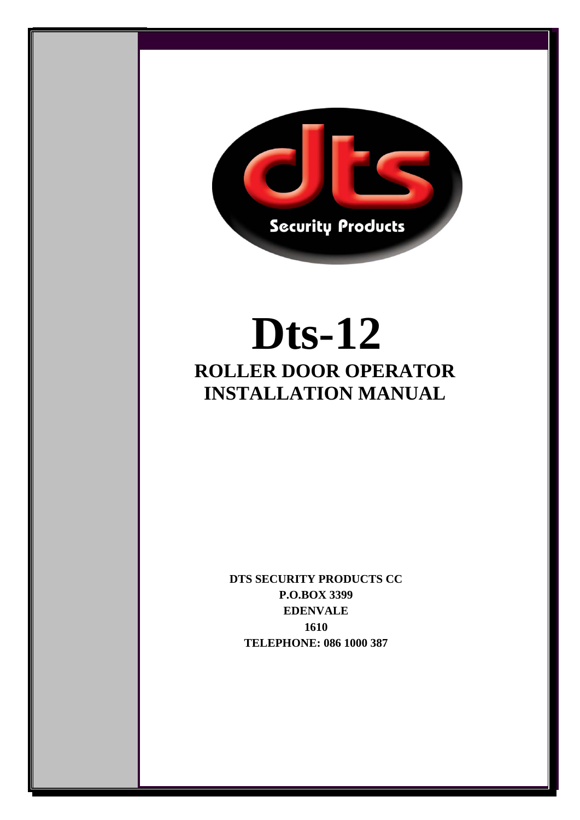

Ī

# **Dts-12 ROLLER DOOR OPERATOR INSTALLATION MANUAL**

 $\bf E D E N V A L E$ **DTS SECURITY PRODUCTS CC P.O.BOX 3399 1610 TELEPHONE: 086 1000 387**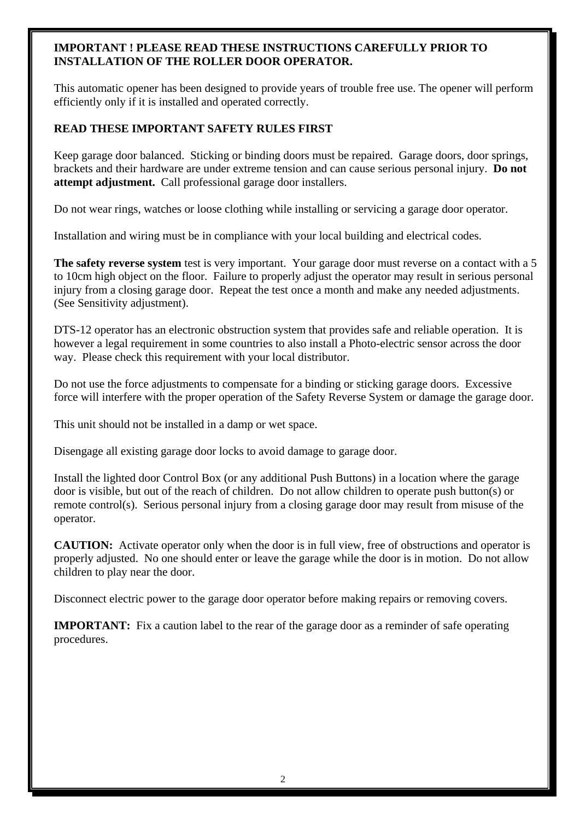# **IMPORTANT ! PLEASE READ THESE INSTRUCTIONS CAREFULLY PRIOR TO INSTALLATION OF THE ROLLER DOOR OPERATOR.**

This automatic opener has been designed to provide years of trouble free use. The opener will perform efficiently only if it is installed and operated correctly.

# **READ THESE IMPORTANT SAFETY RULES FIRST**

Keep garage door balanced. Sticking or binding doors must be repaired. Garage doors, door springs, brackets and their hardware are under extreme tension and can cause serious personal injury. **Do not attempt adjustment.** Call professional garage door installers.

Do not wear rings, watches or loose clothing while installing or servicing a garage door operator.

Installation and wiring must be in compliance with your local building and electrical codes.

**The safety reverse system** test is very important. Your garage door must reverse on a contact with a 5 to 10cm high object on the floor. Failure to properly adjust the operator may result in serious personal injury from a closing garage door. Repeat the test once a month and make any needed adjustments. (See Sensitivity adjustment).

DTS-12 operator has an electronic obstruction system that provides safe and reliable operation. It is however a legal requirement in some countries to also install a Photo-electric sensor across the door way. Please check this requirement with your local distributor.

Do not use the force adjustments to compensate for a binding or sticking garage doors. Excessive force will interfere with the proper operation of the Safety Reverse System or damage the garage door.

This unit should not be installed in a damp or wet space.

Disengage all existing garage door locks to avoid damage to garage door.

Install the lighted door Control Box (or any additional Push Buttons) in a location where the garage door is visible, but out of the reach of children. Do not allow children to operate push button(s) or remote control(s). Serious personal injury from a closing garage door may result from misuse of the operator.

**CAUTION:** Activate operator only when the door is in full view, free of obstructions and operator is properly adjusted. No one should enter or leave the garage while the door is in motion. Do not allow children to play near the door.

Disconnect electric power to the garage door operator before making repairs or removing covers.

**IMPORTANT:** Fix a caution label to the rear of the garage door as a reminder of safe operating procedures.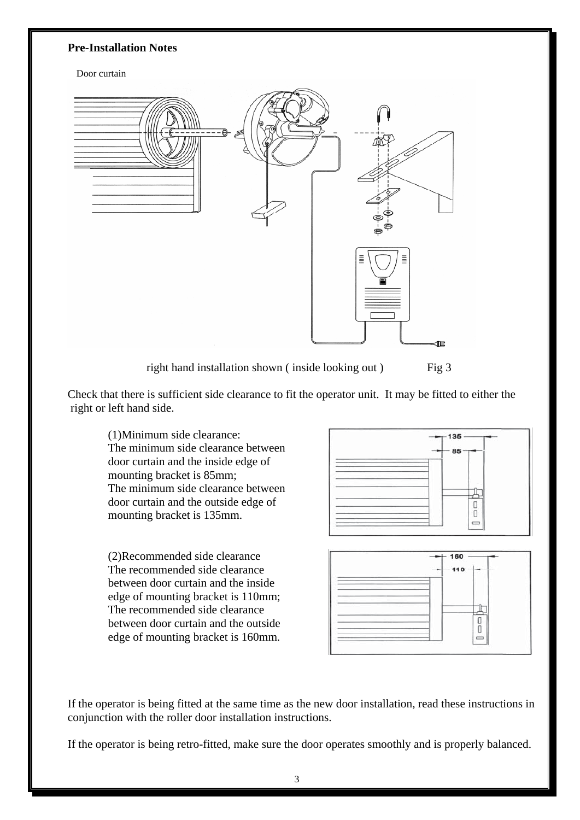#### **Pre-Installation Notes**

#### Door curtain



right hand installation shown (inside looking out) Fig 3

Check that there is sufficient side clearance to fit the operator unit. It may be fitted to either the right or left hand side.

(1)Minimum side clearance: The minimum side clearance between door curtain and the inside edge of mounting bracket is 85mm; The minimum side clearance between door curtain and the outside edge of mounting bracket is 135mm.

(2)Recommended side clearance The recommended side clearance between door curtain and the inside edge of mounting bracket is 110mm; The recommended side clearance between door curtain and the outside edge of mounting bracket is 160mm.



If the operator is being fitted at the same time as the new door installation, read these instructions in conjunction with the roller door installation instructions.

If the operator is being retro-fitted, make sure the door operates smoothly and is properly balanced.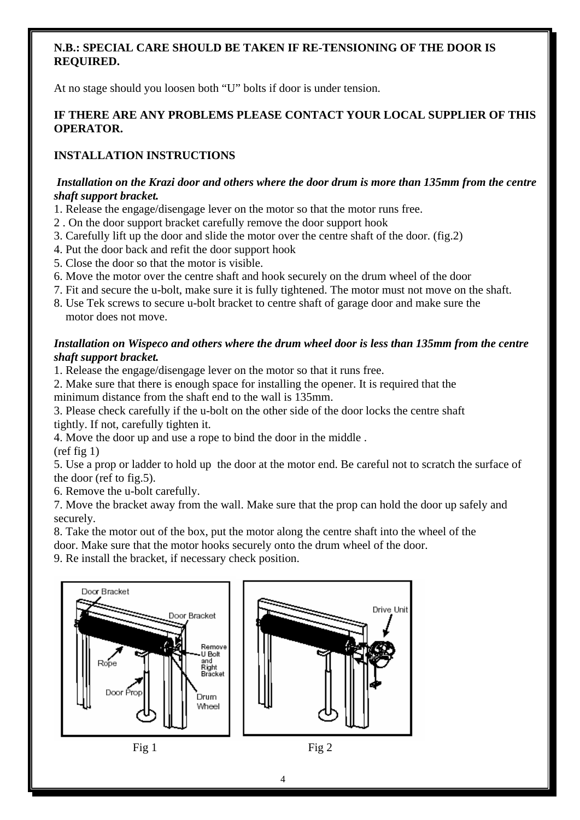# **N.B.: SPECIAL CARE SHOULD BE TAKEN IF RE-TENSIONING OF THE DOOR IS REQUIRED.**

At no stage should you loosen both "U" bolts if door is under tension.

# **IF THERE ARE ANY PROBLEMS PLEASE CONTACT YOUR LOCAL SUPPLIER OF THIS OPERATOR.**

# **INSTALLATION INSTRUCTIONS**

# *Installation on the Krazi door and others where the door drum is more than 135mm from the centre shaft support bracket.*

- 1. Release the engage/disengage lever on the motor so that the motor runs free.
- 2 . On the door support bracket carefully remove the door support hook
- 3. Carefully lift up the door and slide the motor over the centre shaft of the door. (fig.2)
- 4. Put the door back and refit the door support hook
- 5. Close the door so that the motor is visible.
- 6. Move the motor over the centre shaft and hook securely on the drum wheel of the door
- 7. Fit and secure the u-bolt, make sure it is fully tightened. The motor must not move on the shaft.
- 8. Use Tek screws to secure u-bolt bracket to centre shaft of garage door and make sure the motor does not move.

#### *Installation on Wispeco and others where the drum wheel door is less than 135mm from the centre shaft support bracket.*

- 1. Release the engage/disengage lever on the motor so that it runs free.
- 2. Make sure that there is enough space for installing the opener. It is required that the minimum distance from the shaft end to the wall is 135mm.

3. Please check carefully if the u-bolt on the other side of the door locks the centre shaft tightly. If not, carefully tighten it.

4. Move the door up and use a rope to bind the door in the middle . (ref fig 1)

5. Use a prop or ladder to hold up the door at the motor end. Be careful not to scratch the surface of the door (ref to fig.5).

6. Remove the u-bolt carefully.

7. Move the bracket away from the wall. Make sure that the prop can hold the door up safely and securely.

8. Take the motor out of the box, put the motor along the centre shaft into the wheel of the

door. Make sure that the motor hooks securely onto the drum wheel of the door.

9. Re install the bracket, if necessary check position.

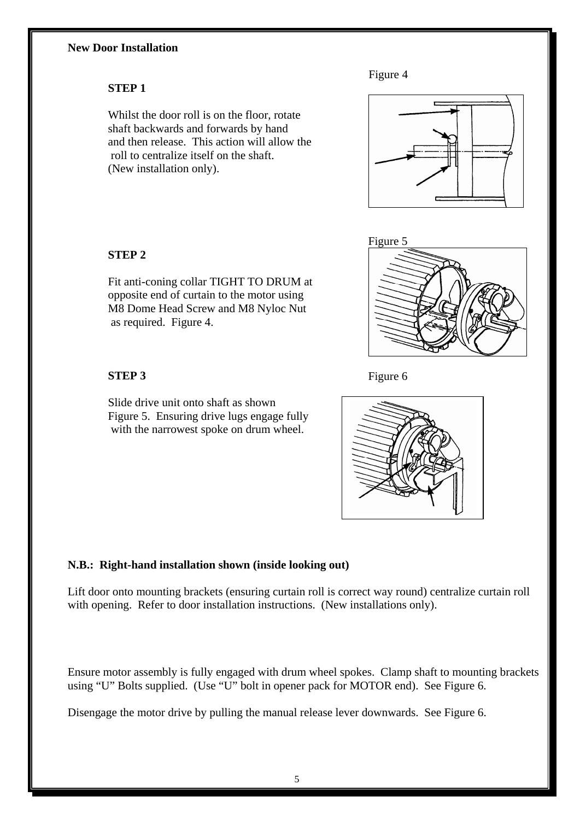# **New Door Installation**



#### **STEP 1**

Whilst the door roll is on the floor, rotate shaft backwards and forwards by hand and then release. This action will allow the roll to centralize itself on the shaft. (New installation only).





# **STEP 2**

Fit anti-coning collar TIGHT TO DRUM at opposite end of curtain to the motor using M8 Dome Head Screw and M8 Nyloc Nut as required. Figure 4.

# **STEP 3**

Slide drive unit onto shaft as shown Figure 5. Ensuring drive lugs engage fully with the narrowest spoke on drum wheel.

# **N.B.: Right-hand installation shown (inside looking out)**

Lift door onto mounting brackets (ensuring curtain roll is correct way round) centralize curtain roll with opening. Refer to door installation instructions. (New installations only).

Ensure motor assembly is fully engaged with drum wheel spokes. Clamp shaft to mounting brackets using "U" Bolts supplied. (Use "U" bolt in opener pack for MOTOR end). See Figure 6.

Disengage the motor drive by pulling the manual release lever downwards. See Figure 6.



Figure 6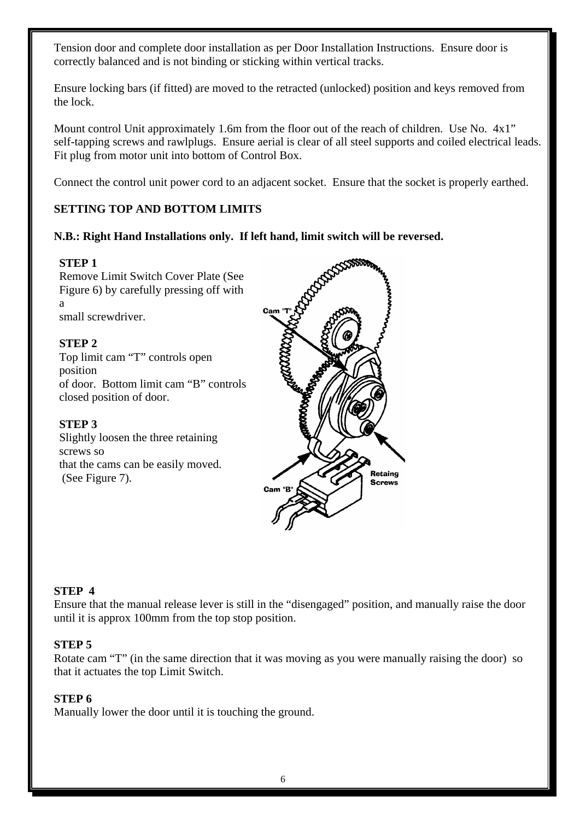Tension door and complete door installation as per Door Installation Instructions. Ensure door is correctly balanced and is not binding or sticking within vertical tracks.

Ensure locking bars (if fitted) are moved to the retracted (unlocked) position and keys removed from the lock.

Mount control Unit approximately 1.6m from the floor out of the reach of children. Use No.  $4x1$ " self-tapping screws and rawlplugs. Ensure aerial is clear of all steel supports and coiled electrical leads. Fit plug from motor unit into bottom of Control Box.

Connect the control unit power cord to an adjacent socket. Ensure that the socket is properly earthed.

# **SETTING TOP AND BOTTOM LIMITS**

# **N.B.: Right Hand Installations only. If left hand, limit switch will be reversed.**

#### **STEP 1**

Remove Limit Switch Cover Plate (See Figure 6) by carefully pressing off with a small screwdriver.

# **STEP 2**

Top limit cam "T" controls open position of door. Bottom limit cam "B" controls closed position of door.

#### **STEP 3**

Slightly loosen the three retaining screws so that the cams can be easily moved. (See Figure 7).



#### **STEP 4**

Ensure that the manual release lever is still in the "disengaged" position, and manually raise the door until it is approx 100mm from the top stop position.

#### **STEP 5**

Rotate cam "T" (in the same direction that it was moving as you were manually raising the door) so that it actuates the top Limit Switch.

#### **STEP 6**

Manually lower the door until it is touching the ground.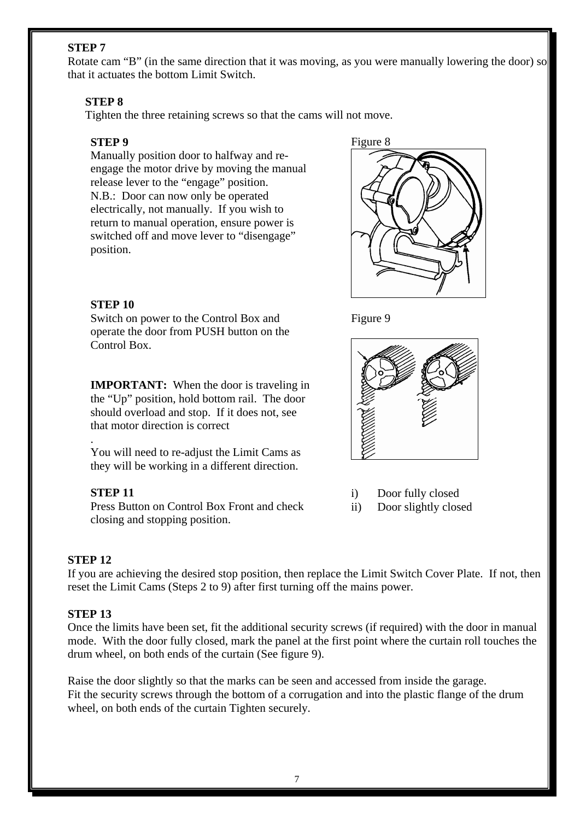# **STEP 7**

Rotate cam "B" (in the same direction that it was moving, as you were manually lowering the door) so that it actuates the bottom Limit Switch.

#### **STEP 8**

Tighten the three retaining screws so that the cams will not move.

#### **STEP 9**

Manually position door to halfway and reengage the motor drive by moving the manual release lever to the "engage" position. N.B.: Door can now only be operated electrically, not manually. If you wish to return to manual operation, ensure power is switched off and move lever to "disengage" position.





# **STEP 10**

Switch on power to the Control Box and operate the door from PUSH button on the Control Box.

**IMPORTANT:** When the door is traveling in the "Up" position, hold bottom rail. The door should overload and stop. If it does not, see that motor direction is correct

You will need to re-adjust the Limit Cams as they will be working in a different direction.

#### **STEP 11**

Press Button on Control Box Front and check closing and stopping position.

#### **STEP 12**

.

If you are achieving the desired stop position, then replace the Limit Switch Cover Plate. If not, then reset the Limit Cams (Steps 2 to 9) after first turning off the mains power.

#### **STEP 13**

Once the limits have been set, fit the additional security screws (if required) with the door in manual mode. With the door fully closed, mark the panel at the first point where the curtain roll touches the drum wheel, on both ends of the curtain (See figure 9).

Raise the door slightly so that the marks can be seen and accessed from inside the garage. Fit the security screws through the bottom of a corrugation and into the plastic flange of the drum wheel, on both ends of the curtain Tighten securely.



- i) Door fully closed
- ii) Door slightly closed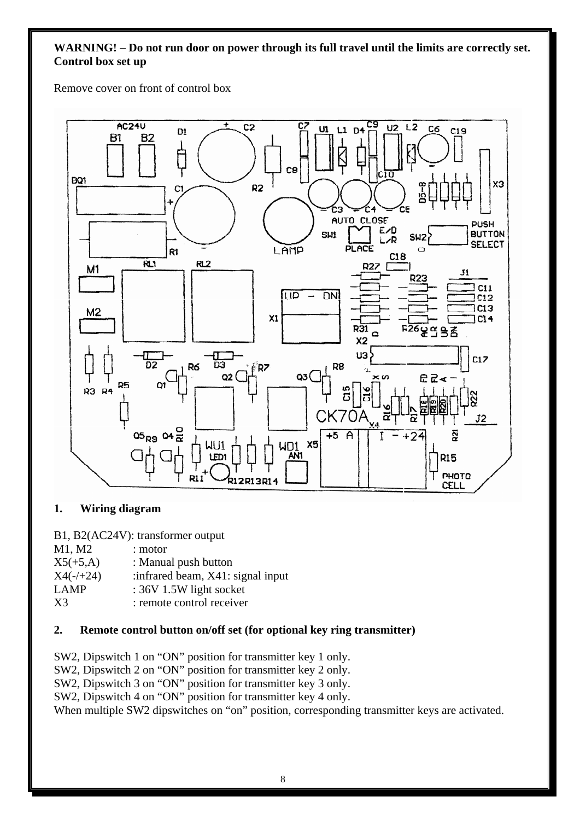# **WARNING! – Do not run door on power through its full travel until the limits are correctly set. Control box set up**

Remove cover on front of control box



# **1. Wiring diagram**

B1, B2(AC24V): transformer output

| M1, M2         | : motor                            |
|----------------|------------------------------------|
| $X5(+5,A)$     | : Manual push button               |
| $X4(-/+24)$    | : infrared beam, X41: signal input |
| <b>LAMP</b>    | : 36V 1.5W light socket            |
| X <sub>3</sub> | : remote control receiver          |

# **2. Remote control button on/off set (for optional key ring transmitter)**

SW2, Dipswitch 1 on "ON" position for transmitter key 1 only.

SW2, Dipswitch 2 on "ON" position for transmitter key 2 only.

SW2, Dipswitch 3 on "ON" position for transmitter key 3 only.

SW2, Dipswitch 4 on "ON" position for transmitter key 4 only.

When multiple SW2 dipswitches on "on" position, corresponding transmitter keys are activated.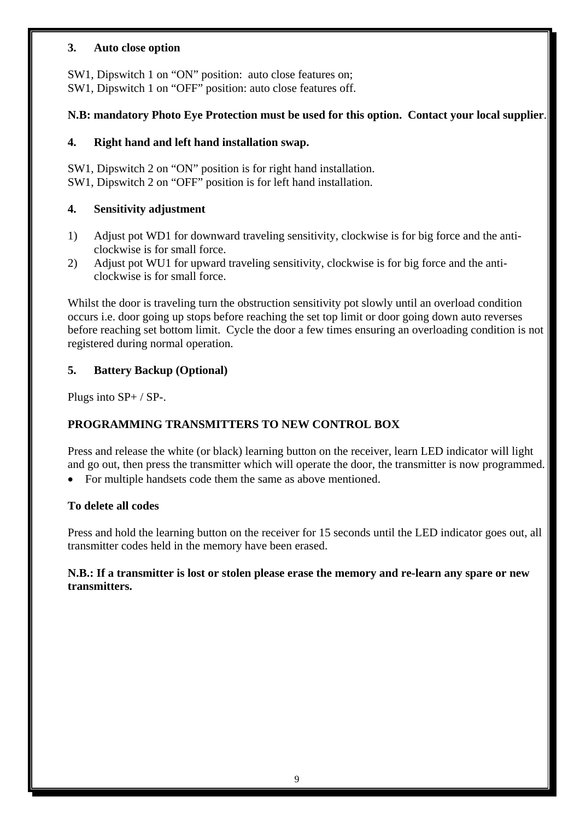#### **3. Auto close option**

SW1, Dipswitch 1 on "ON" position: auto close features on; SW1, Dipswitch 1 on "OFF" position: auto close features off.

# **N.B: mandatory Photo Eye Protection must be used for this option. Contact your local supplier**.

# **4. Right hand and left hand installation swap.**

SW1, Dipswitch 2 on "ON" position is for right hand installation. SW1, Dipswitch 2 on "OFF" position is for left hand installation.

# **4. Sensitivity adjustment**

- 1) Adjust pot WD1 for downward traveling sensitivity, clockwise is for big force and the anticlockwise is for small force.
- 2) Adjust pot WU1 for upward traveling sensitivity, clockwise is for big force and the anticlockwise is for small force.

Whilst the door is traveling turn the obstruction sensitivity pot slowly until an overload condition occurs i.e. door going up stops before reaching the set top limit or door going down auto reverses before reaching set bottom limit. Cycle the door a few times ensuring an overloading condition is not registered during normal operation.

# **5. Battery Backup (Optional)**

Plugs into SP+ / SP-.

# **PROGRAMMING TRANSMITTERS TO NEW CONTROL BOX**

Press and release the white (or black) learning button on the receiver, learn LED indicator will light and go out, then press the transmitter which will operate the door, the transmitter is now programmed.

For multiple handsets code them the same as above mentioned.

# **To delete all codes**

Press and hold the learning button on the receiver for 15 seconds until the LED indicator goes out, all transmitter codes held in the memory have been erased.

#### **N.B.: If a transmitter is lost or stolen please erase the memory and re-learn any spare or new transmitters.**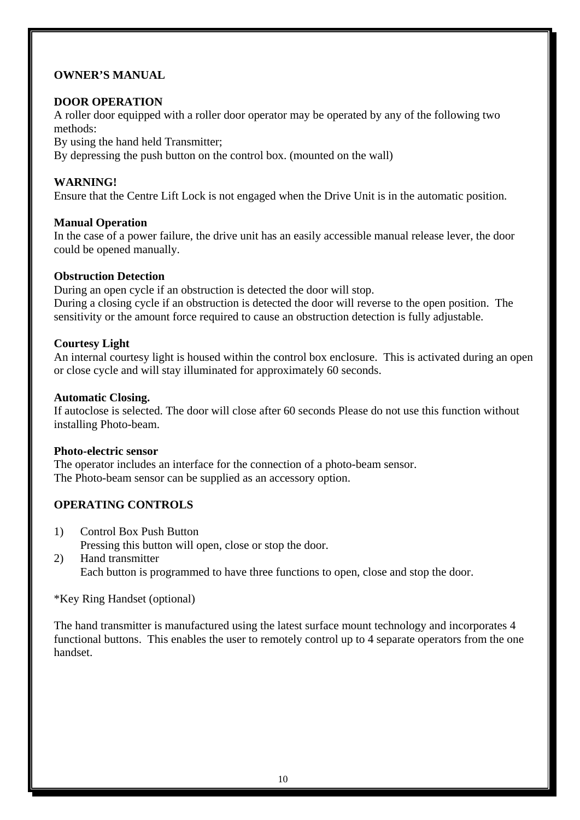# **OWNER'S MANUAL**

# **DOOR OPERATION**

A roller door equipped with a roller door operator may be operated by any of the following two methods:

By using the hand held Transmitter;

By depressing the push button on the control box. (mounted on the wall)

#### **WARNING!**

Ensure that the Centre Lift Lock is not engaged when the Drive Unit is in the automatic position.

#### **Manual Operation**

In the case of a power failure, the drive unit has an easily accessible manual release lever, the door could be opened manually.

#### **Obstruction Detection**

During an open cycle if an obstruction is detected the door will stop. During a closing cycle if an obstruction is detected the door will reverse to the open position. The sensitivity or the amount force required to cause an obstruction detection is fully adjustable.

#### **Courtesy Light**

An internal courtesy light is housed within the control box enclosure. This is activated during an open or close cycle and will stay illuminated for approximately 60 seconds.

#### **Automatic Closing.**

If autoclose is selected. The door will close after 60 seconds Please do not use this function without installing Photo-beam.

#### **Photo-electric sensor**

The operator includes an interface for the connection of a photo-beam sensor. The Photo-beam sensor can be supplied as an accessory option.

# **OPERATING CONTROLS**

- 1) Control Box Push Button Pressing this button will open, close or stop the door.
- 2) Hand transmitter Each button is programmed to have three functions to open, close and stop the door.

\*Key Ring Handset (optional)

The hand transmitter is manufactured using the latest surface mount technology and incorporates 4 functional buttons. This enables the user to remotely control up to 4 separate operators from the one handset.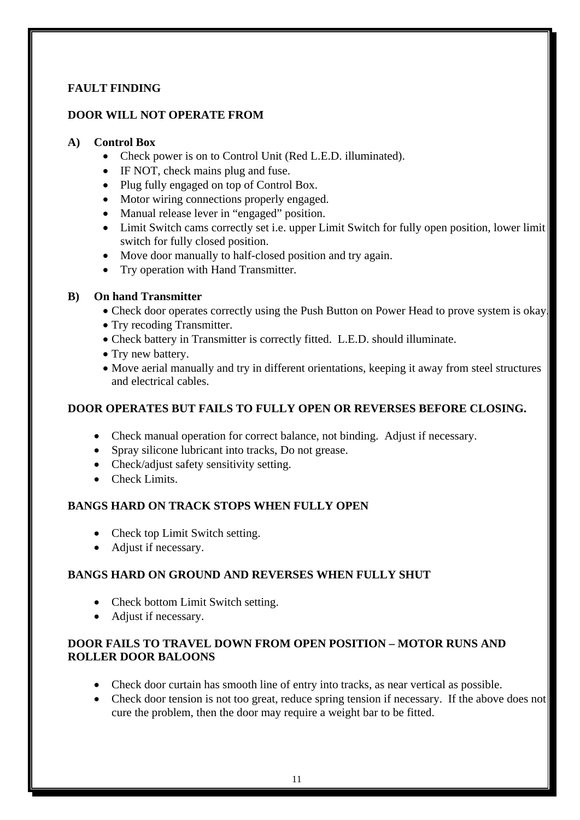# **FAULT FINDING**

#### **DOOR WILL NOT OPERATE FROM**

#### **A) Control Box**

- Check power is on to Control Unit (Red L.E.D. illuminated).
- IF NOT, check mains plug and fuse.
- Plug fully engaged on top of Control Box.
- Motor wiring connections properly engaged.
- Manual release lever in "engaged" position.
- Limit Switch cams correctly set i.e. upper Limit Switch for fully open position, lower limit switch for fully closed position.
- Move door manually to half-closed position and try again.
- Try operation with Hand Transmitter.

#### **B) On hand Transmitter**

- Check door operates correctly using the Push Button on Power Head to prove system is okay.
- Try recoding Transmitter.
- Check battery in Transmitter is correctly fitted. L.E.D. should illuminate.
- Try new battery.
- Move aerial manually and try in different orientations, keeping it away from steel structures and electrical cables.

#### **DOOR OPERATES BUT FAILS TO FULLY OPEN OR REVERSES BEFORE CLOSING.**

- Check manual operation for correct balance, not binding. Adjust if necessary.
- Spray silicone lubricant into tracks, Do not grease.
- Check/adjust safety sensitivity setting.
- Check Limits.

# **BANGS HARD ON TRACK STOPS WHEN FULLY OPEN**

- Check top Limit Switch setting.
- Adjust if necessary.

# **BANGS HARD ON GROUND AND REVERSES WHEN FULLY SHUT**

- Check bottom Limit Switch setting.
- Adjust if necessary.

#### **DOOR FAILS TO TRAVEL DOWN FROM OPEN POSITION – MOTOR RUNS AND ROLLER DOOR BALOONS**

- Check door curtain has smooth line of entry into tracks, as near vertical as possible.
- Check door tension is not too great, reduce spring tension if necessary. If the above does not cure the problem, then the door may require a weight bar to be fitted.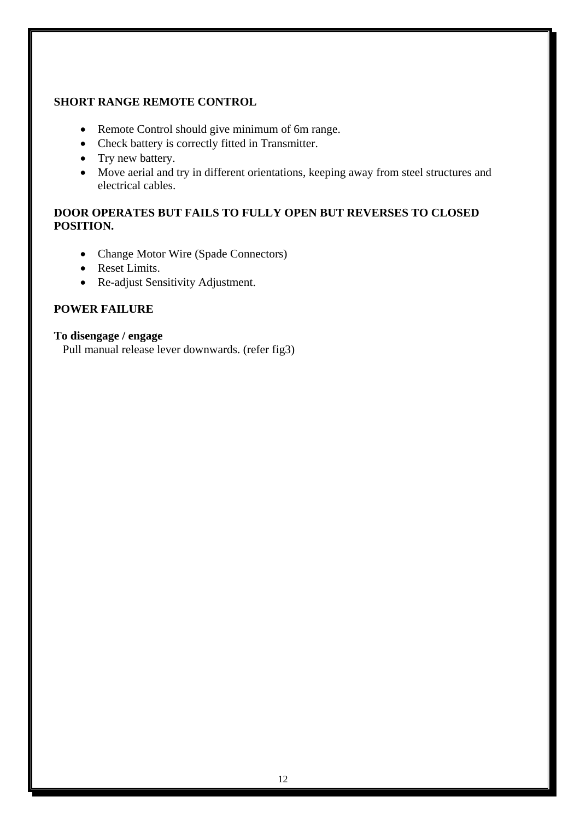#### **SHORT RANGE REMOTE CONTROL**

- Remote Control should give minimum of 6m range.
- Check battery is correctly fitted in Transmitter.
- Try new battery.
- Move aerial and try in different orientations, keeping away from steel structures and electrical cables.

# **DOOR OPERATES BUT FAILS TO FULLY OPEN BUT REVERSES TO CLOSED POSITION.**

- Change Motor Wire (Spade Connectors)
- Reset Limits.
- Re-adjust Sensitivity Adjustment.

# **POWER FAILURE**

#### **To disengage / engage**

Pull manual release lever downwards. (refer fig3)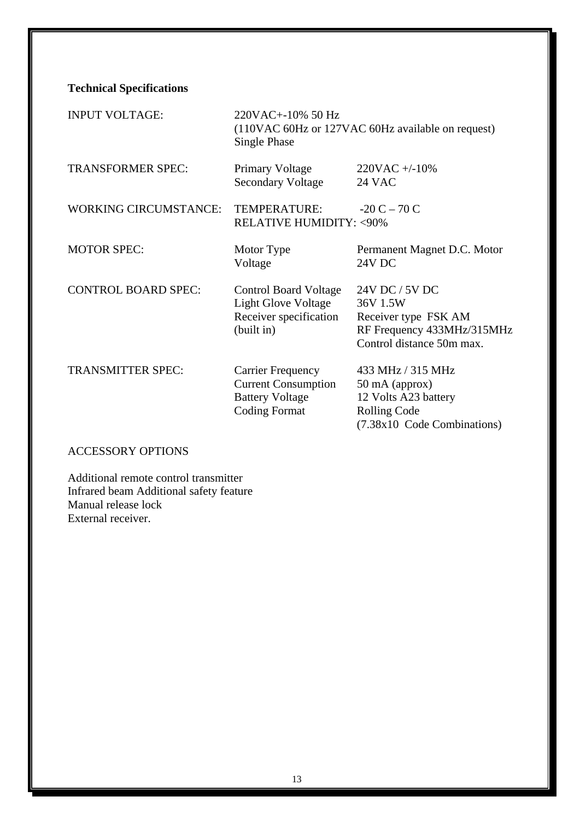**Technical Specifications** 

| <b>INPUT VOLTAGE:</b>        | 220VAC+-10% 50 Hz<br>(110VAC 60Hz or 127VAC 60Hz available on request)<br>Single Phase                   |                                                                                                                   |
|------------------------------|----------------------------------------------------------------------------------------------------------|-------------------------------------------------------------------------------------------------------------------|
| <b>TRANSFORMER SPEC:</b>     | <b>Primary Voltage</b><br><b>Secondary Voltage</b>                                                       | $220VAC + -10\%$<br><b>24 VAC</b>                                                                                 |
| <b>WORKING CIRCUMSTANCE:</b> | TEMPERATURE:<br><b>RELATIVE HUMIDITY: &lt; 90%</b>                                                       | $-20 C - 70 C$                                                                                                    |
| <b>MOTOR SPEC:</b>           | Motor Type<br>Voltage                                                                                    | Permanent Magnet D.C. Motor<br>24V DC                                                                             |
| <b>CONTROL BOARD SPEC:</b>   | <b>Control Board Voltage</b><br><b>Light Glove Voltage</b><br>Receiver specification<br>(built in)       | 24V DC / 5V DC<br>36V 1.5W<br>Receiver type FSK AM<br>RF Frequency 433MHz/315MHz<br>Control distance 50m max.     |
| <b>TRANSMITTER SPEC:</b>     | <b>Carrier Frequency</b><br><b>Current Consumption</b><br><b>Battery Voltage</b><br><b>Coding Format</b> | 433 MHz / 315 MHz<br>50 mA (approx)<br>12 Volts A23 battery<br><b>Rolling Code</b><br>(7.38x10 Code Combinations) |

# ACCESSORY OPTIONS

Additional remote control transmitter Infrared beam Additional safety feature Manual release lock External receiver.